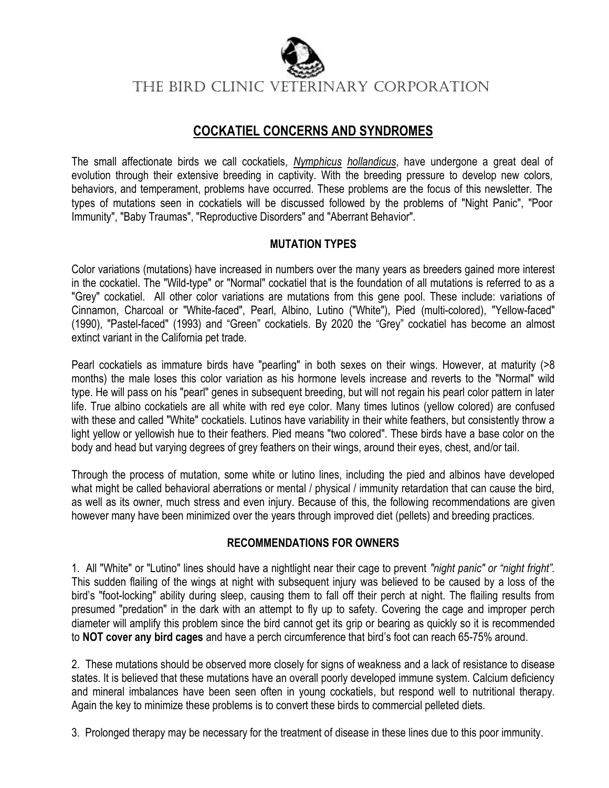

The BIRD Clinic VETERINARY CORPORATION

## **COCKATIEL CONCERNS AND SYNDROMES**

The small affectionate birds we call cockatiels, *Nymphicus hollandicus*, have undergone a great deal of evolution through their extensive breeding in captivity. With the breeding pressure to develop new colors, behaviors, and temperament, problems have occurred. These problems are the focus of this newsletter. The types of mutations seen in cockatiels will be discussed followed by the problems of "Night Panic", "Poor Immunity", "Baby Traumas", "Reproductive Disorders" and "Aberrant Behavior".

### **MUTATION TYPES**

Color variations (mutations) have increased in numbers over the many years as breeders gained more interest in the cockatiel. The "Wild-type" or "Normal" cockatiel that is the foundation of all mutations is referred to as a "Grey" cockatiel. All other color variations are mutations from this gene pool. These include: variations of Cinnamon, Charcoal or "White-faced", Pearl, Albino, Lutino ("White"), Pied (multi-colored), "Yellow-faced" (1990), "Pastel-faced" (1993) and "Green" cockatiels. By 2020 the "Grey" cockatiel has become an almost extinct variant in the California pet trade.

Pearl cockatiels as immature birds have "pearling" in both sexes on their wings. However, at maturity (>8 months) the male loses this color variation as his hormone levels increase and reverts to the "Normal" wild type. He will pass on his "pearl" genes in subsequent breeding, but will not regain his pearl color pattern in later life. True albino cockatiels are all white with red eye color. Many times lutinos (yellow colored) are confused with these and called "White" cockatiels. Lutinos have variability in their white feathers, but consistently throw a light yellow or yellowish hue to their feathers. Pied means "two colored". These birds have a base color on the body and head but varying degrees of grey feathers on their wings, around their eyes, chest, and/or tail.

Through the process of mutation, some white or lutino lines, including the pied and albinos have developed what might be called behavioral aberrations or mental / physical / immunity retardation that can cause the bird, as well as its owner, much stress and even injury. Because of this, the following recommendations are given however many have been minimized over the years through improved diet (pellets) and breeding practices.

### **RECOMMENDATIONS FOR OWNERS**

1. All "White" or "Lutino" lines should have a nightlight near their cage to prevent *"night panic" or "night fright".*  This sudden flailing of the wings at night with subsequent injury was believed to be caused by a loss of the bird's "foot-locking" ability during sleep, causing them to fall off their perch at night. The flailing results from presumed "predation" in the dark with an attempt to fly up to safety. Covering the cage and improper perch diameter will amplify this problem since the bird cannot get its grip or bearing as quickly so it is recommended to **NOT cover any bird cages** and have a perch circumference that bird's foot can reach 65-75% around.

2. These mutations should be observed more closely for signs of weakness and a lack of resistance to disease states. It is believed that these mutations have an overall poorly developed immune system. Calcium deficiency and mineral imbalances have been seen often in young cockatiels, but respond well to nutritional therapy. Again the key to minimize these problems is to convert these birds to commercial pelleted diets.

3. Prolonged therapy may be necessary for the treatment of disease in these lines due to this poor immunity.